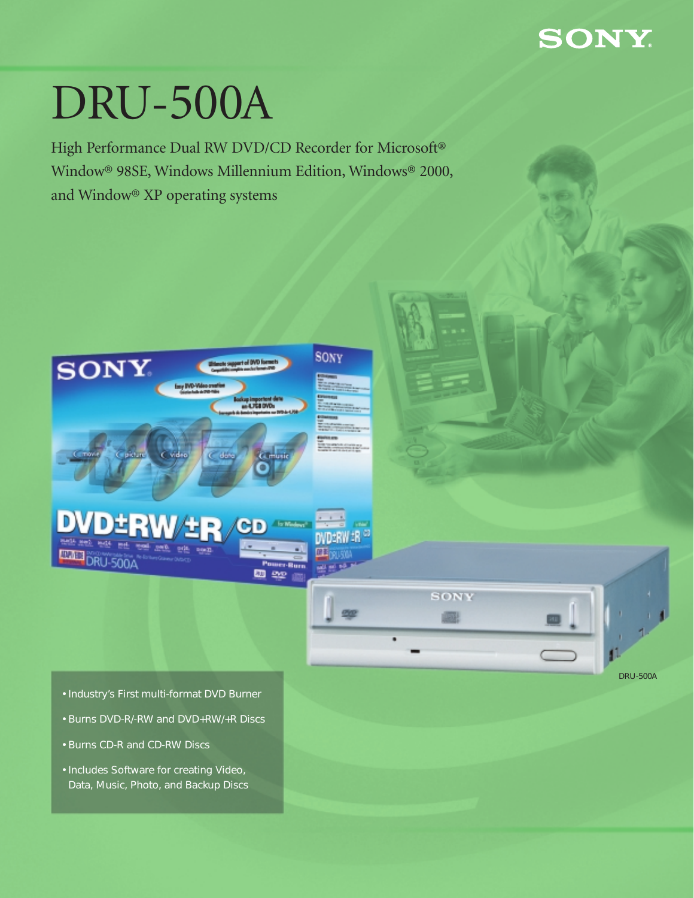## **SONY**

# DRU-500A

High Performance Dual RW DVD/CD Recorder for Microsoft® Window® 98SE, Windows Millennium Edition, Windows® 2000, and Window® XP operating systems





- Industry's First multi-format DVD Burner
- Burns DVD-R/-RW and DVD+RW/+R Discs
- Burns CD-R and CD-RW Discs
- Includes Software for creating Video, Data, Music, Photo, and Backup Discs